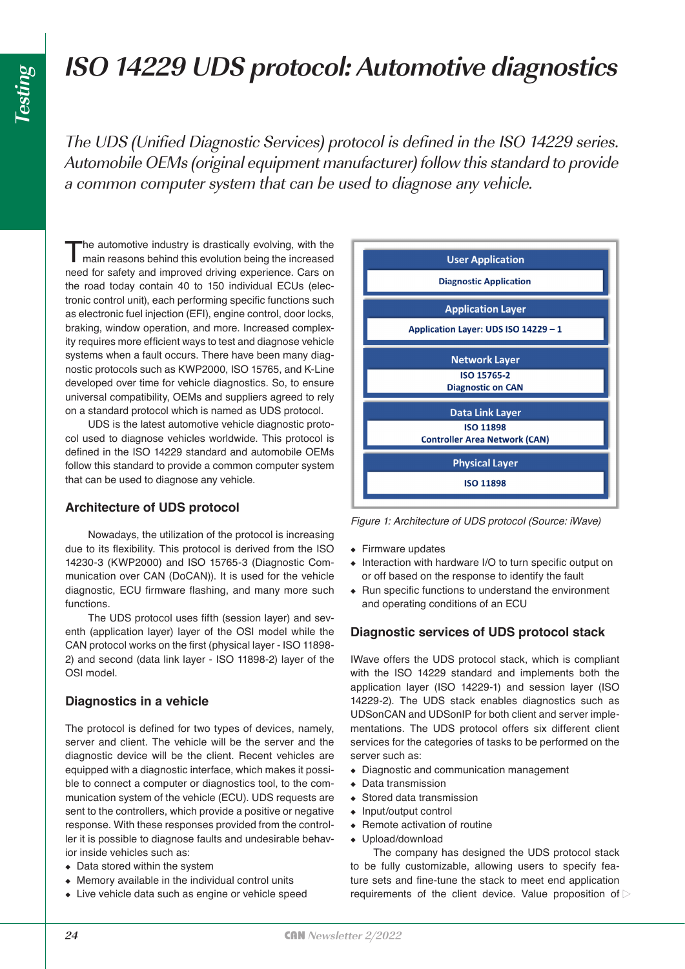# **ISO 14229 UDS protocol: Automotive diagnostics**

The UDS (Unified Diagnostic Services) protocol is defined in the ISO 14229 series. Automobile OEMs (original equipment manufacturer) follow this standard to provide a common computer system that can be used to diagnose any vehicle.

The automotive industry is drastically evolving, with the main reasons behind this evolution being the increased need for safety and improved driving experience. Cars on the road today contain 40 to 150 individual ECUs (electronic control unit), each performing specific functions such as electronic fuel injection (EFI), engine control, door locks, braking, window operation, and more. Increased complexity requires more efficient ways to test and diagnose vehicle systems when a fault occurs. There have been many diagnostic protocols such as KWP2000, ISO 15765, and K-Line developed over time for vehicle diagnostics. So, to ensure universal compatibility, OEMs and suppliers agreed to rely on a standard protocol which is named as UDS protocol.

UDS is the latest automotive vehicle diagnostic protocol used to diagnose vehicles worldwide. This protocol is defined in the ISO 14229 standard and automobile OEMs follow this standard to provide a common computer system that can be used to diagnose any vehicle.

## **Architecture of UDS protocol**

Nowadays, the utilization of the protocol is increasing due to its flexibility. This protocol is derived from the ISO 14230-3 (KWP2000) and ISO 15765-3 (Diagnostic Communication over CAN (DoCAN)). It is used for the vehicle diagnostic, ECU firmware flashing, and many more such functions.

The UDS protocol uses fifth (session layer) and seventh (application layer) layer of the OSI model while the CAN protocol works on the first (physical layer - ISO 11898- 2) and second (data link layer - ISO 11898-2) layer of the OSI model.

## **Diagnostics in a vehicle**

The protocol is defined for two types of devices, namely, server and client. The vehicle will be the server and the diagnostic device will be the client. Recent vehicles are equipped with a diagnostic interface, which makes it possible to connect a computer or diagnostics tool, to the communication system of the vehicle (ECU). UDS requests are sent to the controllers, which provide a positive or negative response. With these responses provided from the controller it is possible to diagnose faults and undesirable behavior inside vehicles such as:

- ◆ Data stored within the system
- ◆ Memory available in the individual control units
- ◆ Live vehicle data such as engine or vehicle speed



*Figure 1: Architecture of UDS protocol (Source: iWave)*

- ◆ Firmware updates
- ◆ Interaction with hardware I/O to turn specific output on or off based on the response to identify the fault
- ◆ Run specific functions to understand the environment and operating conditions of an ECU

## **Diagnostic services of UDS protocol stack**

IWave offers the UDS protocol stack, which is compliant with the ISO 14229 standard and implements both the application layer (ISO 14229-1) and session layer (ISO 14229-2). The UDS stack enables diagnostics such as UDSonCAN and UDSonIP for both client and server implementations. The UDS protocol offers six different client services for the categories of tasks to be performed on the server such as:

- ◆ Diagnostic and communication management
- ◆ Data transmission
- ◆ Stored data transmission
- ◆ Input/output control
- ◆ Remote activation of routine
- ◆ Upload/download

The company has designed the UDS protocol stack to be fully customizable, allowing users to specify feature sets and fine-tune the stack to meet end application requirements of the client device. Value proposition of